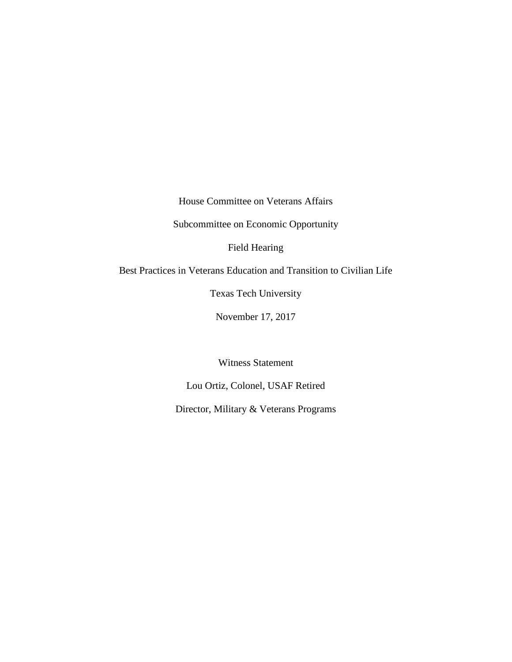House Committee on Veterans Affairs

Subcommittee on Economic Opportunity

Field Hearing

Best Practices in Veterans Education and Transition to Civilian Life

Texas Tech University

November 17, 2017

Witness Statement

Lou Ortiz, Colonel, USAF Retired

Director, Military & Veterans Programs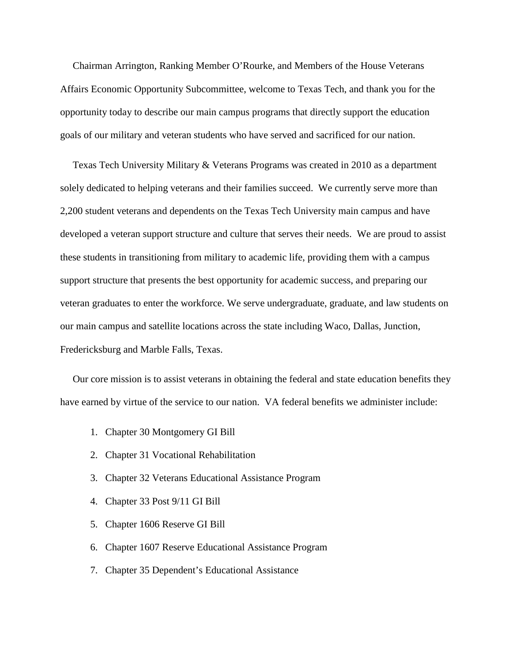Chairman Arrington, Ranking Member O'Rourke, and Members of the House Veterans Affairs Economic Opportunity Subcommittee, welcome to Texas Tech, and thank you for the opportunity today to describe our main campus programs that directly support the education goals of our military and veteran students who have served and sacrificed for our nation.

 Texas Tech University Military & Veterans Programs was created in 2010 as a department solely dedicated to helping veterans and their families succeed. We currently serve more than 2,200 student veterans and dependents on the Texas Tech University main campus and have developed a veteran support structure and culture that serves their needs. We are proud to assist these students in transitioning from military to academic life, providing them with a campus support structure that presents the best opportunity for academic success, and preparing our veteran graduates to enter the workforce. We serve undergraduate, graduate, and law students on our main campus and satellite locations across the state including Waco, Dallas, Junction, Fredericksburg and Marble Falls, Texas.

 Our core mission is to assist veterans in obtaining the federal and state education benefits they have earned by virtue of the service to our nation. VA federal benefits we administer include:

- 1. Chapter 30 Montgomery GI Bill
- 2. Chapter 31 Vocational Rehabilitation
- 3. Chapter 32 Veterans Educational Assistance Program
- 4. Chapter 33 Post 9/11 GI Bill
- 5. Chapter 1606 Reserve GI Bill
- 6. Chapter 1607 Reserve Educational Assistance Program
- 7. Chapter 35 Dependent's Educational Assistance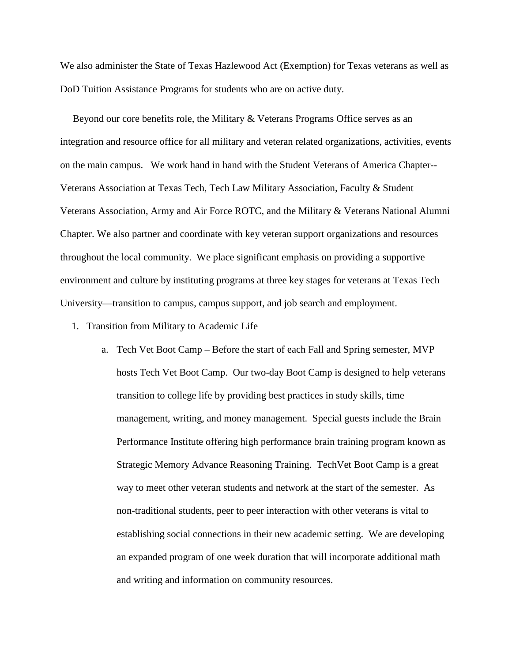We also administer the State of Texas Hazlewood Act (Exemption) for Texas veterans as well as DoD Tuition Assistance Programs for students who are on active duty.

 Beyond our core benefits role, the Military & Veterans Programs Office serves as an integration and resource office for all military and veteran related organizations, activities, events on the main campus. We work hand in hand with the Student Veterans of America Chapter-- Veterans Association at Texas Tech, Tech Law Military Association, Faculty & Student Veterans Association, Army and Air Force ROTC, and the Military & Veterans National Alumni Chapter. We also partner and coordinate with key veteran support organizations and resources throughout the local community. We place significant emphasis on providing a supportive environment and culture by instituting programs at three key stages for veterans at Texas Tech University—transition to campus, campus support, and job search and employment.

- 1. Transition from Military to Academic Life
	- a. Tech Vet Boot Camp Before the start of each Fall and Spring semester, MVP hosts Tech Vet Boot Camp. Our two-day Boot Camp is designed to help veterans transition to college life by providing best practices in study skills, time management, writing, and money management. Special guests include the Brain Performance Institute offering high performance brain training program known as Strategic Memory Advance Reasoning Training. TechVet Boot Camp is a great way to meet other veteran students and network at the start of the semester. As non-traditional students, peer to peer interaction with other veterans is vital to establishing social connections in their new academic setting. We are developing an expanded program of one week duration that will incorporate additional math and writing and information on community resources.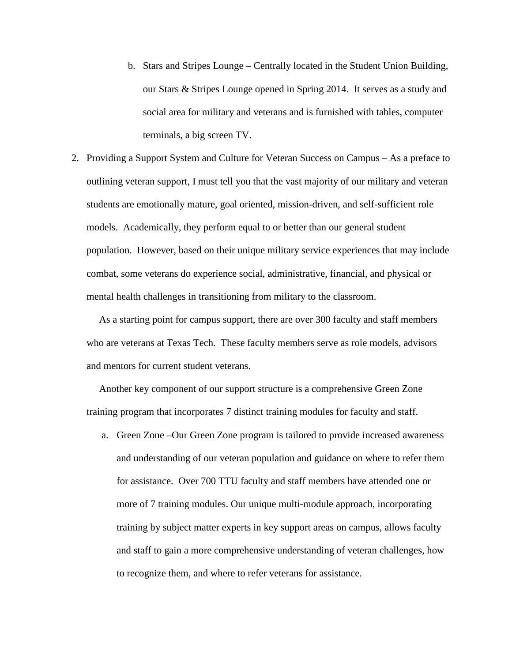- b. Stars and Stripes Lounge Centrally located in the Student Union Building, our Stars & Stripes Lounge opened in Spring 2014. It serves as a study and social area for military and veterans and is furnished with tables, computer terminals, a big screen TV.
- 2. Providing a Support System and Culture for Veteran Success on Campus As a preface to outlining veteran support, I must tell you that the vast majority of our military and veteran students are emotionally mature, goal oriented, mission-driven, and self-sufficient role models. Academically, they perform equal to or better than our general student population. However, based on their unique military service experiences that may include combat, some veterans do experience social, administrative, financial, and physical or mental health challenges in transitioning from military to the classroom.

 As a starting point for campus support, there are over 300 faculty and staff members who are veterans at Texas Tech. These faculty members serve as role models, advisors and mentors for current student veterans.

 Another key component of our support structure is a comprehensive Green Zone training program that incorporates 7 distinct training modules for faculty and staff.

a. Green Zone –Our Green Zone program is tailored to provide increased awareness and understanding of our veteran population and guidance on where to refer them for assistance. Over 700 TTU faculty and staff members have attended one or more of 7 training modules. Our unique multi-module approach, incorporating training by subject matter experts in key support areas on campus, allows faculty and staff to gain a more comprehensive understanding of veteran challenges, how to recognize them, and where to refer veterans for assistance.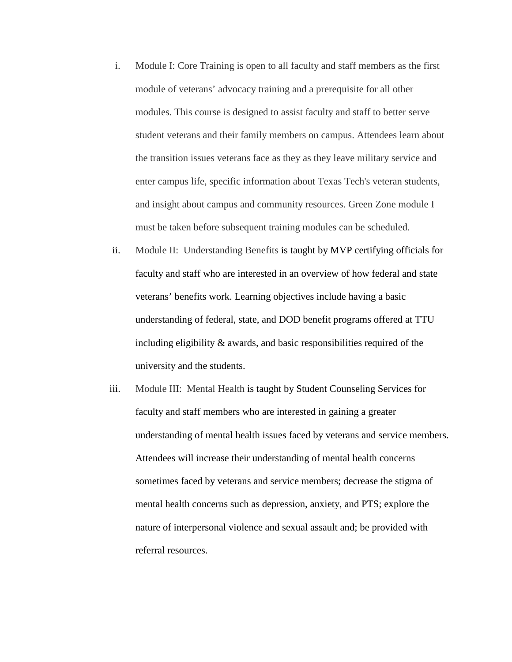- i. Module I: Core Training is open to all faculty and staff members as the first module of veterans' advocacy training and a prerequisite for all other modules. This course is designed to assist faculty and staff to better serve student veterans and their family members on campus. Attendees learn about the transition issues veterans face as they as they leave military service and enter campus life, specific information about Texas Tech's veteran students, and insight about campus and community resources. Green Zone module I must be taken before subsequent training modules can be scheduled.
- ii. Module II: Understanding Benefits is taught by MVP certifying officials for faculty and staff who are interested in an overview of how federal and state veterans' benefits work. Learning objectives include having a basic understanding of federal, state, and DOD benefit programs offered at TTU including eligibility & awards, and basic responsibilities required of the university and the students.
- iii. Module III: Mental Health is taught by Student Counseling Services for faculty and staff members who are interested in gaining a greater understanding of mental health issues faced by veterans and service members. Attendees will increase their understanding of mental health concerns sometimes faced by veterans and service members; decrease the stigma of mental health concerns such as depression, anxiety, and PTS; explore the nature of interpersonal violence and sexual assault and; be provided with referral resources.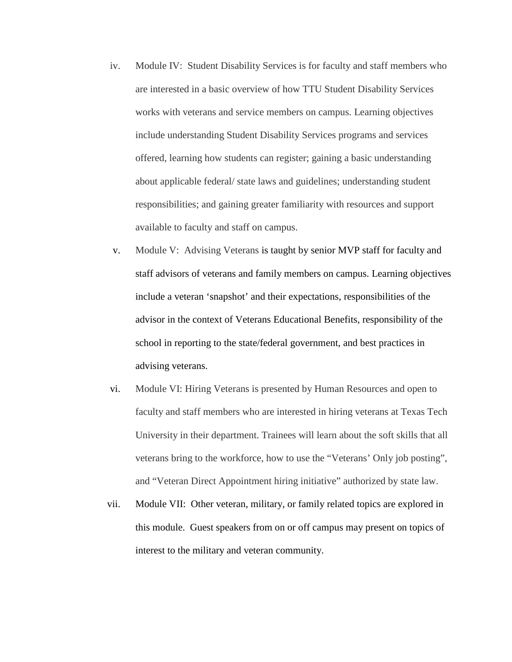- iv. Module IV: Student Disability Services is for faculty and staff members who are interested in a basic overview of how TTU Student Disability Services works with veterans and service members on campus. Learning objectives include understanding Student Disability Services programs and services offered, learning how students can register; gaining a basic understanding about applicable federal/ state laws and guidelines; understanding student responsibilities; and gaining greater familiarity with resources and support available to faculty and staff on campus.
- v. Module V: Advising Veterans is taught by senior MVP staff for faculty and staff advisors of veterans and family members on campus. Learning objectives include a veteran 'snapshot' and their expectations, responsibilities of the advisor in the context of Veterans Educational Benefits, responsibility of the school in reporting to the state/federal government, and best practices in advising veterans.
- vi. Module VI: Hiring Veterans is presented by Human Resources and open to faculty and staff members who are interested in hiring veterans at Texas Tech University in their department. Trainees will learn about the soft skills that all veterans bring to the workforce, how to use the "Veterans' Only job posting", and "Veteran Direct Appointment hiring initiative" authorized by state law.
- vii. Module VII: Other veteran, military, or family related topics are explored in this module. Guest speakers from on or off campus may present on topics of interest to the military and veteran community.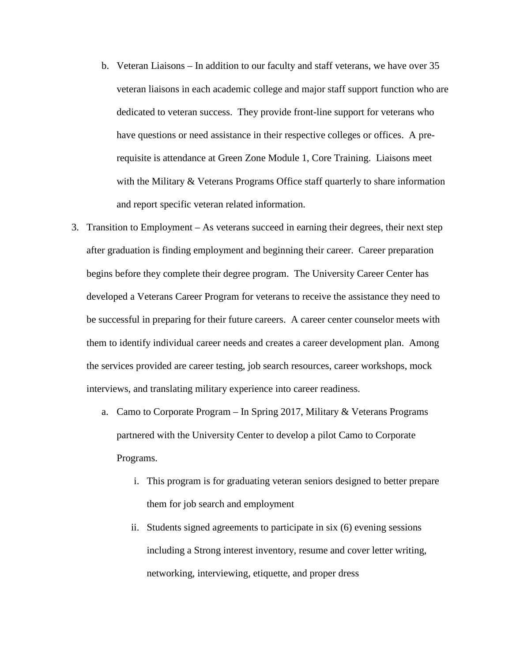- b. Veteran Liaisons In addition to our faculty and staff veterans, we have over 35 veteran liaisons in each academic college and major staff support function who are dedicated to veteran success. They provide front-line support for veterans who have questions or need assistance in their respective colleges or offices. A prerequisite is attendance at Green Zone Module 1, Core Training. Liaisons meet with the Military & Veterans Programs Office staff quarterly to share information and report specific veteran related information.
- 3. Transition to Employment As veterans succeed in earning their degrees, their next step after graduation is finding employment and beginning their career. Career preparation begins before they complete their degree program. The University Career Center has developed a Veterans Career Program for veterans to receive the assistance they need to be successful in preparing for their future careers. A career center counselor meets with them to identify individual career needs and creates a career development plan. Among the services provided are career testing, job search resources, career workshops, mock interviews, and translating military experience into career readiness.
	- a. Camo to Corporate Program In Spring 2017, Military & Veterans Programs partnered with the University Center to develop a pilot Camo to Corporate Programs.
		- i. This program is for graduating veteran seniors designed to better prepare them for job search and employment
		- ii. Students signed agreements to participate in six (6) evening sessions including a Strong interest inventory, resume and cover letter writing, networking, interviewing, etiquette, and proper dress